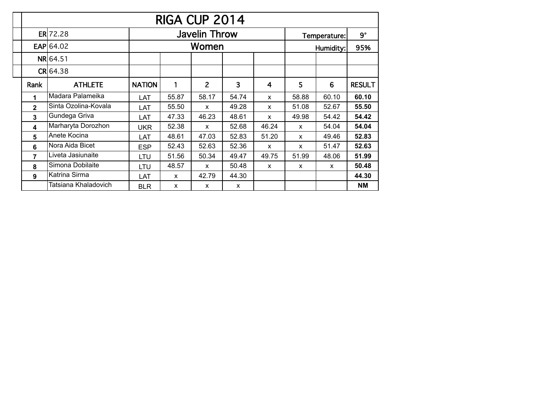|                |                      |               |              | RIGA CUP 2014        |              |              |                |              |               |
|----------------|----------------------|---------------|--------------|----------------------|--------------|--------------|----------------|--------------|---------------|
|                | ER 72.28             |               |              | <b>Javelin Throw</b> |              |              |                | Temperature: | $9^{\circ}$   |
|                | $EAP$ 64.02          |               |              | Women                |              |              | Humidity:      | 95%          |               |
|                | NR 64.51             |               |              |                      |              |              |                |              |               |
|                | CR 64.38             |               |              |                      |              |              |                |              |               |
| Rank           | <b>ATHLETE</b>       | <b>NATION</b> | 1            | $\overline{2}$       | 3            | 4            | $5\phantom{1}$ | 6            | <b>RESULT</b> |
| 1              | Madara Palameika     | LAT           | 55.87        | 58.17                | 54.74        | x            | 58.88          | 60.10        | 60.10         |
| $\mathbf{2}$   | Sinta Ozolina-Kovala | LAT           | 55.50        | X                    | 49.28        | X            | 51.08          | 52.67        | 55.50         |
| $\overline{3}$ | Gundega Griva        | LAT           | 47.33        | 46.23                | 48.61        | X            | 49.98          | 54.42        | 54.42         |
| 4              | Marharyta Dorozhon   | <b>UKR</b>    | 52.38        | X                    | 52.68        | 46.24        | $\mathsf{x}$   | 54.04        | 54.04         |
| 5              | Anete Kocina         | LAT           | 48.61        | 47.03                | 52.83        | 51.20        | X              | 49.46        | 52.83         |
| 6              | Nora Aida Bicet      | <b>ESP</b>    | 52.43        | 52.63                | 52.36        | $\mathsf{x}$ | $\mathsf{x}$   | 51.47        | 52.63         |
| $\overline{7}$ | Liveta Jasiunaite    | LTU           | 51.56        | 50.34                | 49.47        | 49.75        | 51.99          | 48.06        | 51.99         |
| 8              | Simona Dobilaite     | LTU           | 48.57        | X                    | 50.48        | $\mathsf{x}$ | $\mathsf{x}$   | X            | 50.48         |
| 9              | Katrina Sirma        | LAT           | $\mathsf{x}$ | 42.79                | 44.30        |              |                |              | 44.30         |
|                | Tatsiana Khaladovich | <b>BLR</b>    | X            | $\mathsf{x}$         | $\mathsf{x}$ |              |                |              | <b>NM</b>     |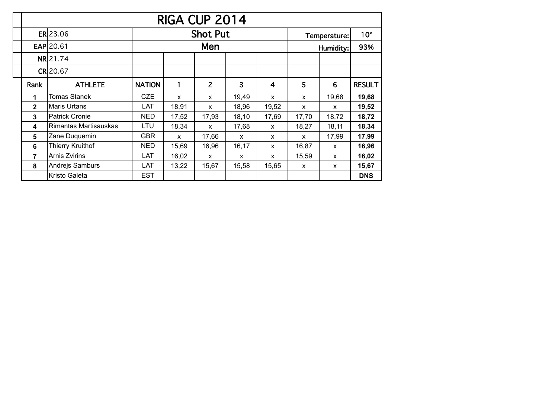|              |                         |               |              | RIGA CUP 2014   |       |              |              |              |               |
|--------------|-------------------------|---------------|--------------|-----------------|-------|--------------|--------------|--------------|---------------|
|              | ER 23.06                |               |              | <b>Shot Put</b> |       |              |              | Temperature: | $10^{\circ}$  |
|              | <b>EAP 20.61</b>        |               |              | Men             |       |              | Humidity:    | 93%          |               |
|              | NR 21.74                |               |              |                 |       |              |              |              |               |
|              | <b>CR20.67</b>          |               |              |                 |       |              |              |              |               |
| Rank         | <b>ATHLETE</b>          | <b>NATION</b> | 1            | $\overline{2}$  | 3     | 4            | 5            | 6            | <b>RESULT</b> |
| 1            | Tomas Stanek            | <b>CZE</b>    | X            | $\mathsf{x}$    | 19,49 | $\mathsf{x}$ | $\mathsf{x}$ | 19,68        | 19,68         |
| $\mathbf{2}$ | Maris Urtans            | <b>LAT</b>    | 18,91        | $\mathsf{x}$    | 18,96 | 19,52        | X            | $\mathsf{x}$ | 19,52         |
| $\mathbf{3}$ | <b>Patrick Cronie</b>   | <b>NED</b>    | 17,52        | 17,93           | 18,10 | 17,69        | 17,70        | 18,72        | 18,72         |
| 4            | Rimantas Martisauskas   | LTU           | 18,34        | $\mathsf{x}$    | 17,68 | $\mathsf{x}$ | 18,27        | 18,11        | 18,34         |
| 5            | Zane Duquemin           | <b>GBR</b>    | $\mathsf{x}$ | 17,66           | X     | $\mathsf{x}$ | X            | 17,99        | 17,99         |
| 6            | <b>Thierry Kruithof</b> | <b>NED</b>    | 15,69        | 16,96           | 16,17 | $\mathsf{x}$ | 16,87        | $\mathsf{x}$ | 16,96         |
| 7            | <b>Arnis Zvirins</b>    | LAT           | 16,02        | X               | X     | X            | 15,59        | X            | 16,02         |
| 8            | Andrejs Samburs         | LAT           | 13,22        | 15,67           | 15,58 | 15,65        | $\mathsf{x}$ | X            | 15,67         |
|              | <b>Kristo Galeta</b>    | <b>EST</b>    |              |                 |       |              |              |              | <b>DNS</b>    |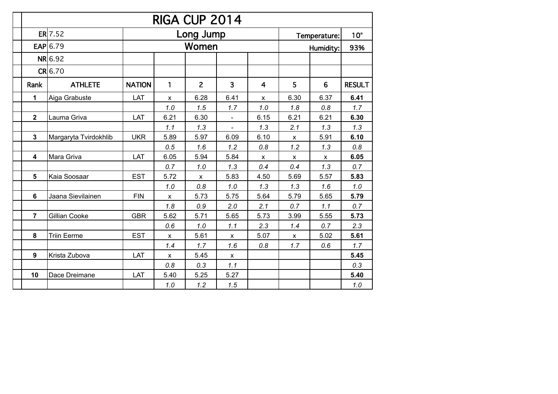|                |                       |               |              | RIGA CUP 2014  |              |                |              |              |               |
|----------------|-----------------------|---------------|--------------|----------------|--------------|----------------|--------------|--------------|---------------|
|                | $ER$ 7.52             |               |              | Long Jump      |              |                |              | Temperature: | $10^{\circ}$  |
|                | EAP $6.79$            |               |              | Women          |              |                |              | Humidity:    | 93%           |
|                | NR 6.92               |               |              |                |              |                |              |              |               |
|                | CR 6.70               |               |              |                |              |                |              |              |               |
| Rank           | <b>ATHLETE</b>        | <b>NATION</b> | 1            | $\overline{2}$ | 3            | $\overline{4}$ | 5            | 6            | <b>RESULT</b> |
| $\mathbf 1$    | Aiga Grabuste         | LAT           | X            | 6.28           | 6.41         | $\mathsf{x}$   | 6.30         | 6.37         | 6.41          |
|                |                       |               | 1.0          | 1.5            | 1.7          | 1.0            | 1.8          | 0.8          | 1.7           |
| $\overline{2}$ | Lauma Griva           | LAT           | 6.21         | 6.30           |              | 6.15           | 6.21         | 6.21         | 6.30          |
|                |                       |               | 1.1          | 1.3            |              | 1.3            | 2.1          | 1.3          | 1.3           |
| $\mathbf{3}$   | Margaryta Tvirdokhlib | <b>UKR</b>    | 5.89         | 5.97           | 6.09         | 6.10           | X            | 5.91         | 6.10          |
|                |                       |               | 0.5          | 1.6            | 1.2          | 0.8            | 1.2          | 1.3          | 0.8           |
| 4              | Mara Griva            | LAT           | 6.05         | 5.94           | 5.84         | х              | X            | X            | 6.05          |
|                |                       |               | 0.7          | 1.0            | 1.3          | 0.4            | 0.4          | 1.3          | 0.7           |
| 5              | Kaia Soosaar          | <b>EST</b>    | 5.72         | $\mathsf{x}$   | 5.83         | 4.50           | 5.69         | 5.57         | 5.83          |
|                |                       |               | 1.0          | 0.8            | 1.0          | 1.3            | 1.3          | 1.6          | 1.0           |
| 6              | Jaana Sievilainen     | <b>FIN</b>    | X            | 5.73           | 5.75         | 5.64           | 5.79         | 5.65         | 5.79          |
|                |                       |               | 1.8          | 0.9            | 2.0          | 2.1            | 0.7          | 1.1          | 0.7           |
| $\overline{7}$ | Gillian Cooke         | <b>GBR</b>    | 5.62         | 5.71           | 5.65         | 5.73           | 3.99         | 5.55         | 5.73          |
|                |                       |               | 0.6          | 1.0            | 1.1          | 2.3            | 1.4          | 0.7          | 2.3           |
| 8              | <b>Triin Eerme</b>    | <b>EST</b>    | X            | 5.61           | $\mathsf{x}$ | 5.07           | $\mathsf{x}$ | 5.02         | 5.61          |
|                |                       |               | 1.4          | 1.7            | 1.6          | 0.8            | 1.7          | 0.6          | 1.7           |
| 9              | Krista Zubova         | LAT           | $\mathsf{x}$ | 5.45           | $\mathsf{x}$ |                |              |              | 5.45          |
|                |                       |               | 0.8          | 0.3            | 1.1          |                |              |              | 0.3           |
| 10             | Dace Dreimane         | LAT           | 5.40         | 5.25           | 5.27         |                |              |              | 5.40          |
|                |                       |               | 1.0          | 1.2            | 1.5          |                |              |              | 1.0           |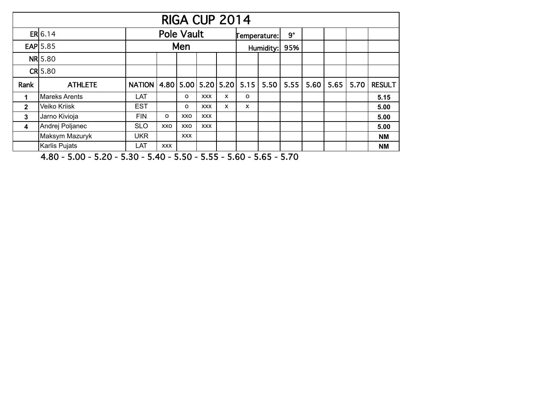|                         | RIGA CUP 2014   |                                                         |                   |            |            |     |              |           |  |      |               |               |
|-------------------------|-----------------|---------------------------------------------------------|-------------------|------------|------------|-----|--------------|-----------|--|------|---------------|---------------|
|                         | ER 6.14         |                                                         | <b>Pole Vault</b> |            |            |     | Temperature: | $9^\circ$ |  |      |               |               |
|                         | <b>EAP</b> 5.85 | Men                                                     |                   |            | Humidity:  | 95% |              |           |  |      |               |               |
|                         | <b>NR</b> 5.80  |                                                         |                   |            |            |     |              |           |  |      |               |               |
|                         | $CR$ 5.80       |                                                         |                   |            |            |     |              |           |  |      |               |               |
| Rank                    | <b>ATHLETE</b>  | NATION   4.80   5.00   5.20   5.20   5.15   5.50   5.55 |                   |            |            |     |              |           |  | 5.60 | $5.65$   5.70 | <b>RESULT</b> |
| $\mathbf 1$             | Mareks Arents   | LAT                                                     |                   | $\Omega$   | <b>XXX</b> | x   | o            |           |  |      |               | 5.15          |
| $\mathbf{2}$            | Veiko Kriisk    | <b>EST</b>                                              |                   | $\Omega$   | <b>XXX</b> | X   | X            |           |  |      |               | 5.00          |
| $\mathbf{3}$            | Jarno Kivioja   | <b>FIN</b>                                              | O                 | XXO        | <b>XXX</b> |     |              |           |  |      |               | 5.00          |
| $\overline{\mathbf{4}}$ | Andrej Poljanec | <b>SLO</b>                                              | XXO               | XXO        | <b>XXX</b> |     |              |           |  |      |               | 5.00          |
|                         | Maksym Mazuryk  | <b>UKR</b>                                              |                   | <b>XXX</b> |            |     |              |           |  |      |               | <b>NM</b>     |
|                         | Karlis Pujats   | LAT                                                     | <b>XXX</b>        |            |            |     |              |           |  |      |               | <b>NM</b>     |

4.80 - 5.00 - 5.20 - 5.30 - 5.40 - 5.50 - 5.55 - 5.60 - 5.65 - 5.70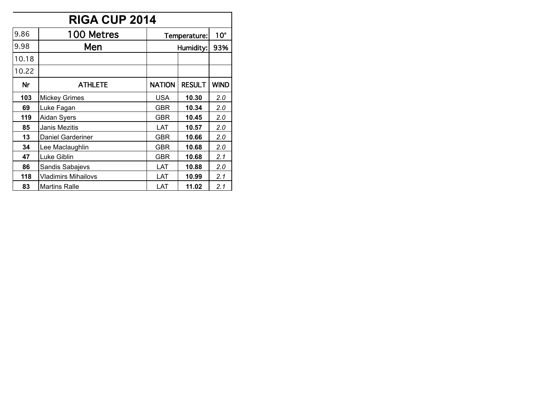|       | <b>RIGA CUP 2014</b>       |               |               |              |  |  |  |  |  |  |
|-------|----------------------------|---------------|---------------|--------------|--|--|--|--|--|--|
| 9.86  | 100 Metres                 |               | Temperature:  | $10^{\circ}$ |  |  |  |  |  |  |
| 9.98  | Men                        | Humidity:     | 93%           |              |  |  |  |  |  |  |
| 10.18 |                            |               |               |              |  |  |  |  |  |  |
| 10.22 |                            |               |               |              |  |  |  |  |  |  |
| Nr    | <b>ATHLETE</b>             | <b>NATION</b> | <b>RESULT</b> | <b>WIND</b>  |  |  |  |  |  |  |
| 103   | <b>Mickey Grimes</b>       | <b>USA</b>    | 10.30         | 2.0          |  |  |  |  |  |  |
| 69    | Luke Fagan                 | GBR           | 10.34         | 2.0          |  |  |  |  |  |  |
| 119   | <b>Aidan Syers</b>         | <b>GBR</b>    | 10.45         | 2.0          |  |  |  |  |  |  |
| 85    | Janis Mezitis              | LAT           | 10.57         | 2.0          |  |  |  |  |  |  |
| 13    | <b>Daniel Garderiner</b>   | <b>GBR</b>    | 10.66         | 2.0          |  |  |  |  |  |  |
| 34    | Lee Maclaughlin            | <b>GBR</b>    | 10.68         | 2.0          |  |  |  |  |  |  |
| 47    | Luke Giblin                | GBR           | 10.68         | 2.1          |  |  |  |  |  |  |
| 86    | Sandis Sabajevs            | LAT           | 10.88         |              |  |  |  |  |  |  |
| 118   | <b>Vladimirs Mihailovs</b> | LAT           | 10.99         | 2.1          |  |  |  |  |  |  |
| 83    | <b>Martins Ralle</b>       | LAT           | 11.02         | 2.1          |  |  |  |  |  |  |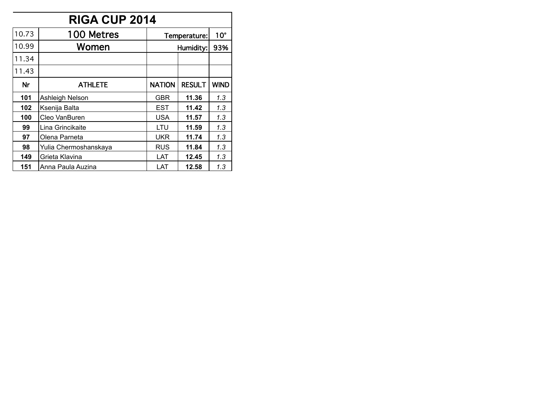|           | <b>RIGA CUP 2014</b>  |               |               |              |  |  |  |  |  |  |  |
|-----------|-----------------------|---------------|---------------|--------------|--|--|--|--|--|--|--|
| 10.73     | 100 Metres            |               | Temperature:  | $10^{\circ}$ |  |  |  |  |  |  |  |
| 10.99     | Women                 |               | Humidity:     | 93%          |  |  |  |  |  |  |  |
| 11.34     |                       |               |               |              |  |  |  |  |  |  |  |
| 11.43     |                       |               |               |              |  |  |  |  |  |  |  |
| <b>Nr</b> | <b>ATHLETE</b>        | <b>NATION</b> | <b>RESULT</b> | <b>WIND</b>  |  |  |  |  |  |  |  |
| 101       | Ashleigh Nelson       | GBR           | 11.36         | 1.3          |  |  |  |  |  |  |  |
| 102       | Ksenija Balta         | <b>EST</b>    | 11.42         | 1.3          |  |  |  |  |  |  |  |
| 100       | Cleo VanBuren         | <b>USA</b>    | 11.57         | 1.3          |  |  |  |  |  |  |  |
| 99        | Lina Grincikaite      | LTU           | 11.59         | 1.3          |  |  |  |  |  |  |  |
| 97        | Olena Parneta         | <b>UKR</b>    | 11.74         | 1.3          |  |  |  |  |  |  |  |
| 98        | Yulia Chermoshanskaya | <b>RUS</b>    | 11.84         | 1.3          |  |  |  |  |  |  |  |
| 149       | Grieta Klavina        | LAT           | 12.45         | 1.3          |  |  |  |  |  |  |  |
| 151       | Anna Paula Auzina     | LAT           | 12.58         | 1.3          |  |  |  |  |  |  |  |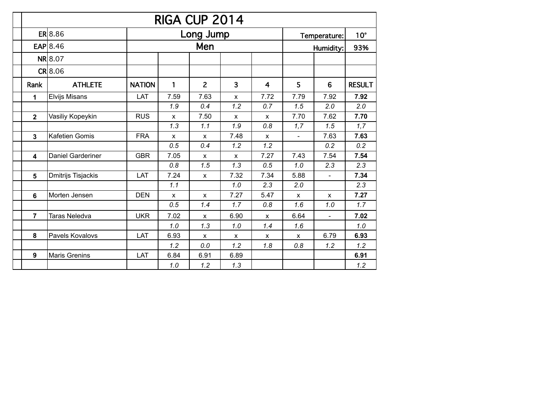|                |                          |               |              | RIGA CUP 2014  |              |              |                |                |               |
|----------------|--------------------------|---------------|--------------|----------------|--------------|--------------|----------------|----------------|---------------|
|                | ER 8.86                  |               |              | Long Jump      |              |              |                | Temperature:   | $10^{\circ}$  |
|                | $EAP$ 8.46               |               |              | Men            |              |              |                | Humidity:      | 93%           |
|                | <b>NR</b> 8.07           |               |              |                |              |              |                |                |               |
|                | $CR$ 8.06                |               |              |                |              |              |                |                |               |
| Rank           | <b>ATHLETE</b>           | <b>NATION</b> | 1            | $\overline{2}$ | 3            | 4            | 5              | 6              | <b>RESULT</b> |
| 1              | <b>Elvijs Misans</b>     | LAT           | 7.59         | 7.63           | X            | 7.72         | 7.79           | 7.92           | 7.92          |
|                |                          |               | 1.9          | 0.4            | 1.2          | 0.7          | 1.5            | 2.0            | 2.0           |
| $\overline{2}$ | Vasiliy Kopeykin         | <b>RUS</b>    | $\mathsf{x}$ | 7.50           | $\mathsf{x}$ | $\mathsf{x}$ | 7.70           | 7.62           | 7.70          |
|                |                          |               | 1.3          | 1.1            | 1.9          | 0.8          | 1,7            | 1.5            | 1,7           |
| $\mathbf{3}$   | Kafetien Gomis           | <b>FRA</b>    | X            | $\mathsf{x}$   | 7.48         | X            | $\blacksquare$ | 7.63           | 7.63          |
|                |                          |               | 0.5          | 0.4            | 1.2          | 1.2          |                | 0.2            | 0.2           |
| 4              | <b>Daniel Garderiner</b> | <b>GBR</b>    | 7.05         | $\mathsf{x}$   | X            | 7.27         | 7.43           | 7.54           | 7.54          |
|                |                          |               | 0.8          | 1.5            | 1.3          | 0.5          | 1.0            | 2.3            | 2.3           |
| 5              | Dmitrijs Tisjackis       | LAT           | 7.24         | $\mathsf{x}$   | 7.32         | 7.34         | 5.88           | $\blacksquare$ | 7.34          |
|                |                          |               | 1.1          |                | 1.0          | 2.3          | 2.0            |                | 2.3           |
| $6\phantom{a}$ | Morten Jensen            | <b>DEN</b>    | X            | $\mathsf{x}$   | 7.27         | 5.47         | X              | X              | 7.27          |
|                |                          |               | 0.5          | 1.4            | 1.7          | 0.8          | 1.6            | 1.0            | 1.7           |
| $\overline{7}$ | <b>Taras Neledva</b>     | <b>UKR</b>    | 7.02         | $\mathsf{x}$   | 6.90         | X            | 6.64           | $\blacksquare$ | 7.02          |
|                |                          |               | 1.0          | 1.3            | 1.0          | 1.4          | 1.6            |                | 1.0           |
| 8              | Pavels Kovalovs          | LAT           | 6.93         | X              | x            | x            | $\mathsf{x}$   | 6.79           | 6.93          |
|                |                          |               | 1.2          | 0.0            | 1.2          | 1.8          | 0.8            | 1.2            | 1.2           |
| 9              | <b>Maris Grenins</b>     | LAT           | 6.84         | 6.91           | 6.89         |              |                |                | 6.91          |
|                |                          |               | 1.0          | 1.2            | 1.3          |              |                |                | 1.2           |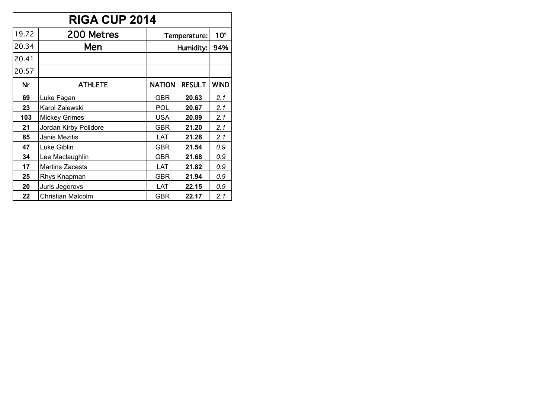|           | <b>RIGA CUP 2014</b>   |               |               |              |  |  |  |  |  |  |
|-----------|------------------------|---------------|---------------|--------------|--|--|--|--|--|--|
| 19.72     | 200 Metres             |               | Temperature:  | $10^{\circ}$ |  |  |  |  |  |  |
| 20.34     | Men                    |               | Humidity:     | 94%          |  |  |  |  |  |  |
| 20.41     |                        |               |               |              |  |  |  |  |  |  |
| 20.57     |                        |               |               |              |  |  |  |  |  |  |
| <b>Nr</b> | <b>ATHLETE</b>         | <b>NATION</b> | <b>RESULT</b> | <b>WIND</b>  |  |  |  |  |  |  |
| 69        | Luke Fagan             | GBR           | 20.63         | 2.1          |  |  |  |  |  |  |
| 23        | Karol Zalewski         | POL           | 20.67         | 2.1          |  |  |  |  |  |  |
| 103       | <b>Mickey Grimes</b>   | <b>USA</b>    | 20.89         | 2.1          |  |  |  |  |  |  |
| 21        | Jordan Kirby Polidore  | <b>GBR</b>    | 21.20         | 2.1          |  |  |  |  |  |  |
| 85        | Janis Mezitis          | LAT           | 21.28         | 2.1          |  |  |  |  |  |  |
| 47        | Luke Giblin            | GBR           | 21.54         | 0.9          |  |  |  |  |  |  |
| 34        | Lee Maclaughlin        | GBR           | 21.68         | 0.9          |  |  |  |  |  |  |
| 17        | <b>Martins Zacests</b> | LAT           | 21.82         | 0.9          |  |  |  |  |  |  |
| 25        | Rhys Knapman           | <b>GBR</b>    | 21.94         |              |  |  |  |  |  |  |
| 20        | Juris Jegorovs         | LAT           | 22.15         | 0.9          |  |  |  |  |  |  |
| 22        | Christian Malcolm      | GBR           | 22.17         | 2.1          |  |  |  |  |  |  |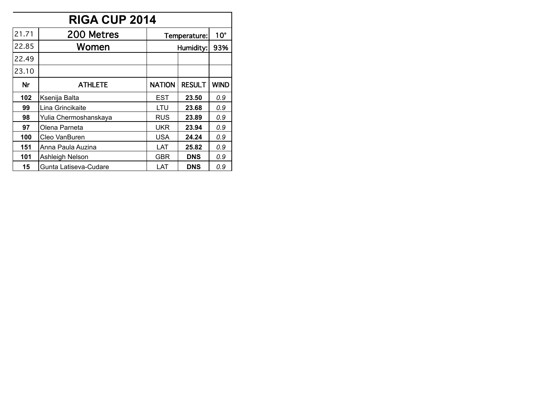|           | <b>RIGA CUP 2014</b>  |               |               |              |  |  |  |  |  |  |
|-----------|-----------------------|---------------|---------------|--------------|--|--|--|--|--|--|
| 21.71     | 200 Metres            |               | Temperature:  | $10^{\circ}$ |  |  |  |  |  |  |
| 22.85     | Women                 |               | Humidity:     | 93%          |  |  |  |  |  |  |
| 22.49     |                       |               |               |              |  |  |  |  |  |  |
| 23.10     |                       |               |               |              |  |  |  |  |  |  |
| <b>Nr</b> | <b>ATHLETE</b>        | <b>NATION</b> | <b>RESULT</b> | <b>WIND</b>  |  |  |  |  |  |  |
| 102       | Ksenija Balta         | <b>EST</b>    | 23.50         | 0.9          |  |  |  |  |  |  |
| 99        | Lina Grincikaite      | LTU           | 23.68         | 0.9          |  |  |  |  |  |  |
| 98        | Yulia Chermoshanskaya | <b>RUS</b>    | 23.89         | 0.9          |  |  |  |  |  |  |
| 97        | Olena Parneta         | UKR           | 23.94         | 0.9          |  |  |  |  |  |  |
| 100       | Cleo VanBuren         | <b>USA</b>    | 24.24         | 0.9          |  |  |  |  |  |  |
| 151       | Anna Paula Auzina     | LAT           | 25.82         | 0.9          |  |  |  |  |  |  |
| 101       | Ashleigh Nelson       | GBR           | <b>DNS</b>    | 0.9          |  |  |  |  |  |  |
| 15        | Gunta Latiseva-Cudare | LAT           | <b>DNS</b>    | 0.9          |  |  |  |  |  |  |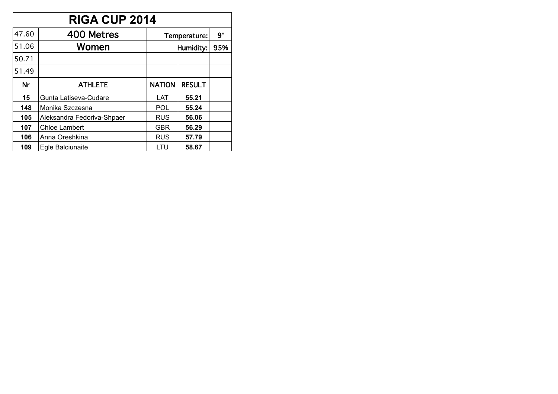|           | <b>RIGA CUP 2014</b>       |               |               |           |  |  |  |  |  |  |  |
|-----------|----------------------------|---------------|---------------|-----------|--|--|--|--|--|--|--|
| 47.60     | 400 Metres                 |               | Temperature:  | $9^\circ$ |  |  |  |  |  |  |  |
| 51.06     | Women                      |               | Humidity:     | 95%       |  |  |  |  |  |  |  |
| 50.71     |                            |               |               |           |  |  |  |  |  |  |  |
| 51.49     |                            |               |               |           |  |  |  |  |  |  |  |
| <b>Nr</b> | <b>ATHLETE</b>             | <b>NATION</b> | <b>RESULT</b> |           |  |  |  |  |  |  |  |
| 15        | Gunta Latiseva-Cudare      | LAT           | 55.21         |           |  |  |  |  |  |  |  |
| 148       | Monika Szczesna            | POL           | 55.24         |           |  |  |  |  |  |  |  |
| 105       | Aleksandra Fedoriva-Shpaer | <b>RUS</b>    | 56.06         |           |  |  |  |  |  |  |  |
| 107       | <b>Chloe Lambert</b>       | <b>GBR</b>    | 56.29         |           |  |  |  |  |  |  |  |
| 106       | Anna Oreshkina             | <b>RUS</b>    | 57.79         |           |  |  |  |  |  |  |  |
| 109       | Egle Balciunaite           | LTU           | 58.67         |           |  |  |  |  |  |  |  |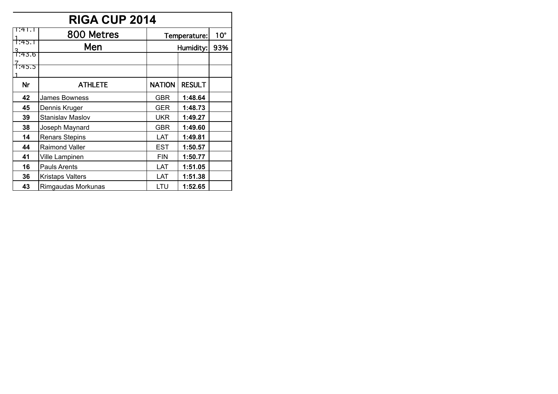|                     | RIGA CUP 2014           |               |               |              |  |  |  |  |  |  |  |
|---------------------|-------------------------|---------------|---------------|--------------|--|--|--|--|--|--|--|
| T:41.1              | 800 Metres              |               | Temperature:  | $10^{\circ}$ |  |  |  |  |  |  |  |
| †:क्5.न             | Men                     |               | Humidity:     | 93%          |  |  |  |  |  |  |  |
| <u> -</u><br>1:43.6 |                         |               |               |              |  |  |  |  |  |  |  |
| 1:45.5              |                         |               |               |              |  |  |  |  |  |  |  |
|                     |                         |               |               |              |  |  |  |  |  |  |  |
| <b>Nr</b>           | <b>ATHLETE</b>          | <b>NATION</b> | <b>RESULT</b> |              |  |  |  |  |  |  |  |
| 42                  | James Bowness           | GBR           | 1:48.64       |              |  |  |  |  |  |  |  |
| 45                  | Dennis Kruger           | <b>GER</b>    | 1:48.73       |              |  |  |  |  |  |  |  |
| 39                  | <b>Stanislav Maslov</b> | <b>UKR</b>    | 1:49.27       |              |  |  |  |  |  |  |  |
| 38                  | Joseph Maynard          | <b>GBR</b>    | 1:49.60       |              |  |  |  |  |  |  |  |
| 14                  | <b>Renars Stepins</b>   | LAT           | 1:49.81       |              |  |  |  |  |  |  |  |
| 44                  | <b>Raimond Valler</b>   | <b>EST</b>    | 1:50.57       |              |  |  |  |  |  |  |  |
| 41                  | Ville Lampinen          | <b>FIN</b>    | 1:50.77       |              |  |  |  |  |  |  |  |
| 16                  | Pauls Arents            | LAT           | 1:51.05       |              |  |  |  |  |  |  |  |
| 36                  | <b>Kristaps Valters</b> | LAT           | 1:51.38       |              |  |  |  |  |  |  |  |
| 43                  | Rimgaudas Morkunas      | LTU           | 1:52.65       |              |  |  |  |  |  |  |  |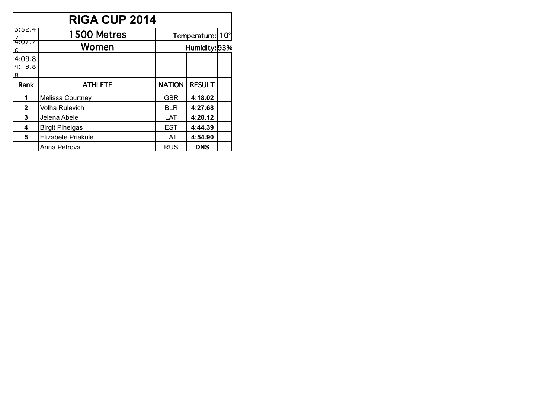|                        | <b>RIGA CUP 2014</b>   |               |                  |  |  |  |  |  |  |  |  |
|------------------------|------------------------|---------------|------------------|--|--|--|--|--|--|--|--|
| 3:52.4                 | 1500 Metres            |               | Temperature: 10° |  |  |  |  |  |  |  |  |
| <del>4:07.7</del><br>6 | Women                  |               | Humidity: 93%    |  |  |  |  |  |  |  |  |
| 4:09.8                 |                        |               |                  |  |  |  |  |  |  |  |  |
| 4:19.8<br>Ջ            |                        |               |                  |  |  |  |  |  |  |  |  |
| Rank                   | <b>ATHLETE</b>         | <b>NATION</b> | <b>RESULT</b>    |  |  |  |  |  |  |  |  |
| 1                      | Melissa Courtney       | <b>GBR</b>    | 4:18.02          |  |  |  |  |  |  |  |  |
| $\mathbf{2}$           | <b>Volha Rulevich</b>  | <b>BLR</b>    | 4:27.68          |  |  |  |  |  |  |  |  |
| 3                      | Jelena Abele           | LAT           | 4:28.12          |  |  |  |  |  |  |  |  |
| 4                      | <b>Birgit Pihelgas</b> | <b>EST</b>    | 4:44.39          |  |  |  |  |  |  |  |  |
| 5                      | Elizabete Priekule     | LAT           | 4:54.90          |  |  |  |  |  |  |  |  |
|                        | Anna Petrova           | <b>RUS</b>    | <b>DNS</b>       |  |  |  |  |  |  |  |  |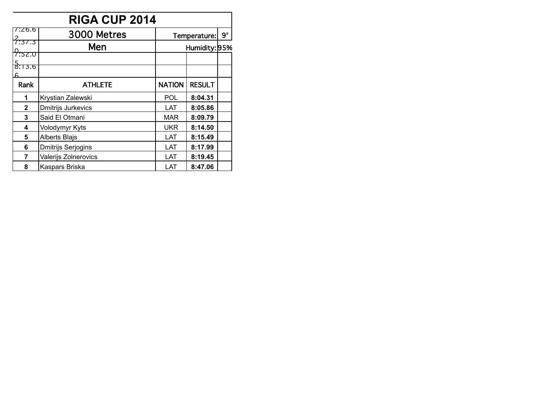| <b>RIGA CUP 2014</b>            |                      |               |               |  |  |  |  |
|---------------------------------|----------------------|---------------|---------------|--|--|--|--|
| 7:26.6                          | 3000 Metres          | Temperature:  | $9^\circ$     |  |  |  |  |
| <del>?:37.3</del>               | Men                  | Humidity: 95% |               |  |  |  |  |
| <del>7:52.ס</del>               |                      |               |               |  |  |  |  |
| $\frac{5}{8}$ :13.6<br><u>ଳ</u> |                      |               |               |  |  |  |  |
| Rank                            | <b>ATHLETE</b>       | <b>NATION</b> | <b>RESULT</b> |  |  |  |  |
| 1                               | Krystian Zalewski    | <b>POL</b>    | 8:04.31       |  |  |  |  |
| $\mathbf 2$                     | Dmitrijs Jurkevics   | LAT           | 8:05.86       |  |  |  |  |
| 3                               | Said El Otmani       | <b>MAR</b>    | 8:09.79       |  |  |  |  |
| 4                               | Volodymyr Kyts       | <b>UKR</b>    | 8:14.50       |  |  |  |  |
| 5                               | <b>Alberts Blajs</b> | LAT           | 8:15.49       |  |  |  |  |
| 6                               | Dmitrijs Serjogins   | LAT           | 8:17.99       |  |  |  |  |
| 7                               | Valerijs Zolnerovics | LAT           | 8:19.45       |  |  |  |  |
| 8                               | Kaspars Briska       | LAT           | 8:47.06       |  |  |  |  |